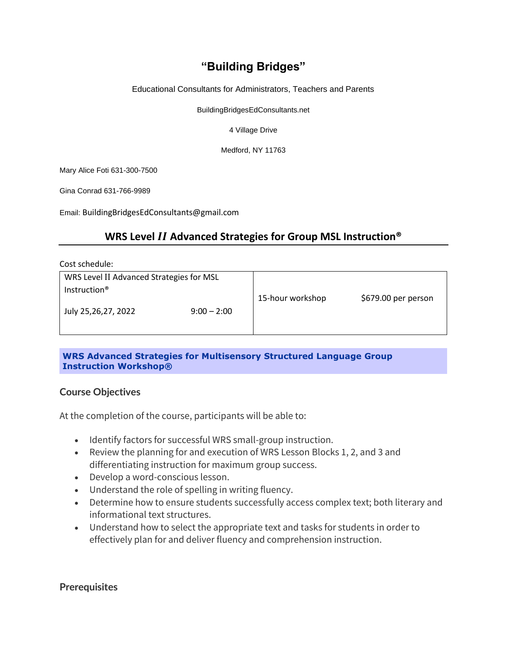# **"Building Bridges"**

Educational Consultants for Administrators, Teachers and Parents

BuildingBridgesEdConsultants.net

4 Village Drive

Medford, NY 11763

Mary Alice Foti 631-300-7500

Gina Conrad 631-766-9989

Email: BuildingBridgesEdConsultants@gmail.com

# **WRS Level Advanced Strategies for Group MSL Instruction®**

| Cost schedule:                                                       |               |                  |                     |
|----------------------------------------------------------------------|---------------|------------------|---------------------|
| WRS Level II Advanced Strategies for MSL<br>Instruction <sup>®</sup> |               | 15-hour workshop | \$679.00 per person |
| July 25,26,27, 2022                                                  | $9:00 - 2:00$ |                  |                     |

**WRS Advanced Strategies for Multisensory Structured Language Group Instruction Workshop®**

## **Course Objectives**

At the completion of the course, participants will be able to:

- Identify factors for successful WRS small-group instruction.
- Review the planning for and execution of WRS Lesson Blocks 1, 2, and 3 and differentiating instruction for maximum group success.
- Develop a word-conscious lesson.
- Understand the role of spelling in writing fluency.
- Determine how to ensure students successfully access complex text; both literary and informational text structures.
- Understand how to select the appropriate text and tasks for students in order to effectively plan for and deliver fluency and comprehension instruction.

#### **Prerequisites**